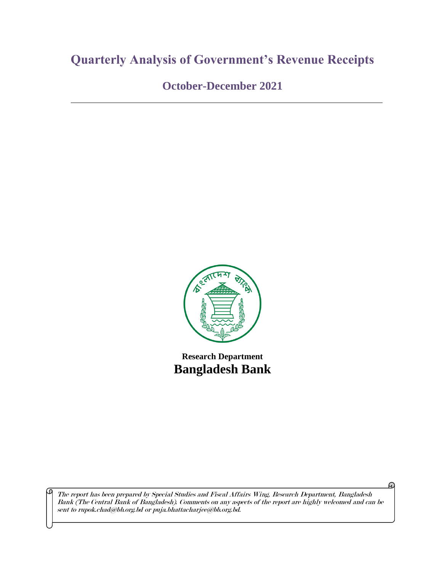# **Quarterly Analysis of Government's Revenue Receipts**

**October-December 2021**



**Research Department Bangladesh Bank**

The report has been prepared by Special Studies and Fiscal Affairs Wing, Research Department, Bangladesh Bank (The Central Bank of Bangladesh). Comments on any aspects of the report are highly welcomed and can be sent to rupok.chad@bb.org.bd or puja.bhattacharjee@bb.org.bd.

⊕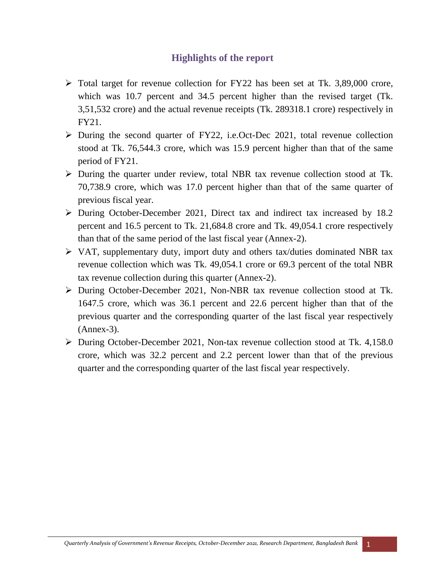### **Highlights of the report**

- $\triangleright$  Total target for revenue collection for FY22 has been set at Tk. 3,89,000 crore, which was 10.7 percent and 34.5 percent higher than the revised target (Tk. 3,51,532 crore) and the actual revenue receipts (Tk. 289318.1 crore) respectively in FY21.
- $\triangleright$  During the second quarter of FY22, i.e.Oct-Dec 2021, total revenue collection stood at Tk. 76,544.3 crore, which was 15.9 percent higher than that of the same period of FY21.
- During the quarter under review, total NBR tax revenue collection stood at Tk. 70,738.9 crore, which was 17.0 percent higher than that of the same quarter of previous fiscal year.
- $\triangleright$  During October-December 2021, Direct tax and indirect tax increased by 18.2 percent and 16.5 percent to Tk. 21,684.8 crore and Tk. 49,054.1 crore respectively than that of the same period of the last fiscal year (Annex-2).
- $\triangleright$  VAT, supplementary duty, import duty and others tax/duties dominated NBR tax revenue collection which was Tk. 49,054.1 crore or 69.3 percent of the total NBR tax revenue collection during this quarter (Annex-2).
- During October-December 2021, Non-NBR tax revenue collection stood at Tk. 1647.5 crore, which was 36.1 percent and 22.6 percent higher than that of the previous quarter and the corresponding quarter of the last fiscal year respectively (Annex-3).
- During October-December 2021, Non-tax revenue collection stood at Tk. 4,158.0 crore, which was 32.2 percent and 2.2 percent lower than that of the previous quarter and the corresponding quarter of the last fiscal year respectively.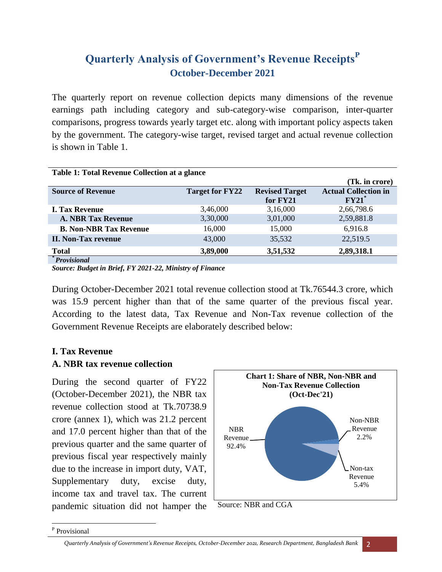## **Quarterly Analysis of Government's Revenue Receipts<sup>P</sup> October-December 2021**

The quarterly report on revenue collection depicts many dimensions of the revenue earnings path including category and sub-category-wise comparison, inter-quarter comparisons, progress towards yearly target etc. along with important policy aspects taken by the government. The category-wise target, revised target and actual revenue collection is shown in Table 1.

| <b>Table 1: Total Revenue Collection at a glance</b> |                        |                       |                             |  |  |  |  |
|------------------------------------------------------|------------------------|-----------------------|-----------------------------|--|--|--|--|
|                                                      |                        |                       | (Tk. in crore)              |  |  |  |  |
| <b>Source of Revenue</b>                             | <b>Target for FY22</b> | <b>Revised Target</b> | <b>Actual Collection in</b> |  |  |  |  |
|                                                      |                        | for FY21              | $FY21^*$                    |  |  |  |  |
| <b>I. Tax Revenue</b>                                | 3,46,000               | 3,16,000              | 2,66,798.6                  |  |  |  |  |
| <b>A. NBR Tax Revenue</b>                            | 3,30,000               | 3,01,000              | 2,59,881.8                  |  |  |  |  |
| <b>B. Non-NBR Tax Revenue</b>                        | 16,000                 | 15,000                | 6,916.8                     |  |  |  |  |
| <b>II. Non-Tax revenue</b>                           | 43,000                 | 35,532                | 22,519.5                    |  |  |  |  |
| <b>Total</b>                                         | 3,89,000               | 3,51,532              | 2,89,318.1                  |  |  |  |  |
| <i>*Provisional</i>                                  |                        |                       |                             |  |  |  |  |

*Source: Budget in Brief, FY 2021-22, Ministry of Finance*

During October-December 2021 total revenue collection stood at Tk.76544.3 crore, which was 15.9 percent higher than that of the same quarter of the previous fiscal year. According to the latest data, Tax Revenue and Non-Tax revenue collection of the Government Revenue Receipts are elaborately described below:

### **I. Tax Revenue**

#### **A. NBR tax revenue collection**

During the second quarter of FY22 (October-December 2021), the NBR tax revenue collection stood at Tk.70738.9 crore (annex 1), which was 21.2 percent and 17.0 percent higher than that of the previous quarter and the same quarter of previous fiscal year respectively mainly due to the increase in import duty, VAT, Supplementary duty, excise duty, income tax and travel tax. The current pandemic situation did not hamper the



Source: NBR and CGA

 $\overline{a}$ <sup>P</sup> Provisional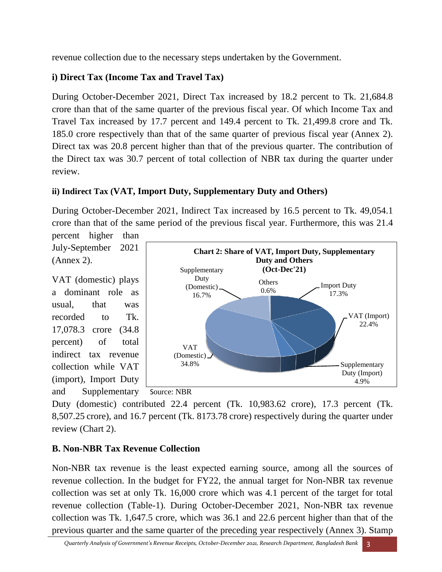revenue collection due to the necessary steps undertaken by the Government.

### **i) Direct Tax (Income Tax and Travel Tax)**

During October-December 2021, Direct Tax increased by 18.2 percent to Tk. 21,684.8 crore than that of the same quarter of the previous fiscal year. Of which Income Tax and Travel Tax increased by 17.7 percent and 149.4 percent to Tk. 21,499.8 crore and Tk. 185.0 crore respectively than that of the same quarter of previous fiscal year (Annex 2). Direct tax was 20.8 percent higher than that of the previous quarter. The contribution of the Direct tax was 30.7 percent of total collection of NBR tax during the quarter under review.

### **ii) Indirect Tax (VAT, Import Duty, Supplementary Duty and Others)**

During October-December 2021, Indirect Tax increased by 16.5 percent to Tk. 49,054.1 crore than that of the same period of the previous fiscal year. Furthermore, this was 21.4 percent higher than

July-September 2021 (Annex 2).

VAT (domestic) plays a dominant role as usual, that was recorded to Tk. 17,078.3 crore (34.8 percent) of total indirect tax revenue collection while VAT (import), Import Duty



and Supplementary Source: NBR

Duty (domestic) contributed 22.4 percent (Tk. 10,983.62 crore), 17.3 percent (Tk. 8,507.25 crore), and 16.7 percent (Tk. 8173.78 crore) respectively during the quarter under review (Chart 2).

### **B. Non-NBR Tax Revenue Collection**

Non-NBR tax revenue is the least expected earning source, among all the sources of revenue collection. In the budget for FY22, the annual target for Non-NBR tax revenue collection was set at only Tk. 16,000 crore which was 4.1 percent of the target for total revenue collection (Table-1). During October-December 2021, Non-NBR tax revenue collection was Tk. 1,647.5 crore, which was 36.1 and 22.6 percent higher than that of the previous quarter and the same quarter of the preceding year respectively (Annex 3). Stamp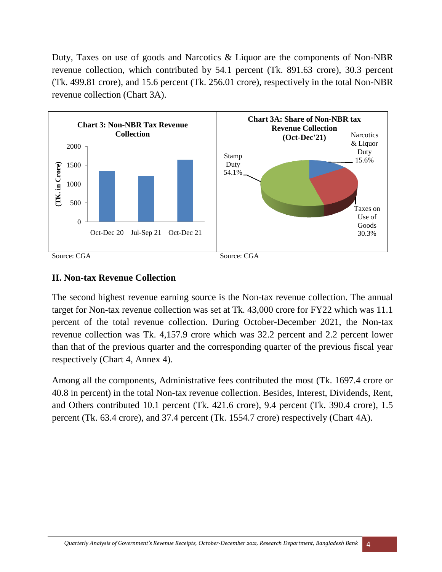Duty, Taxes on use of goods and Narcotics & Liquor are the components of Non-NBR revenue collection, which contributed by 54.1 percent (Tk. 891.63 crore), 30.3 percent (Tk. 499.81 crore), and 15.6 percent (Tk. 256.01 crore), respectively in the total Non-NBR revenue collection (Chart 3A).



### **II. Non-tax Revenue Collection**

The second highest revenue earning source is the Non-tax revenue collection. The annual target for Non-tax revenue collection was set at Tk. 43,000 crore for FY22 which was 11.1 percent of the total revenue collection. During October-December 2021, the Non-tax revenue collection was Tk. 4,157.9 crore which was 32.2 percent and 2.2 percent lower than that of the previous quarter and the corresponding quarter of the previous fiscal year respectively (Chart 4, Annex 4).

Among all the components, Administrative fees contributed the most (Tk. 1697.4 crore or 40.8 in percent) in the total Non-tax revenue collection. Besides, Interest, Dividends, Rent, and Others contributed 10.1 percent (Tk. 421.6 crore), 9.4 percent (Tk. 390.4 crore), 1.5 percent (Tk. 63.4 crore), and 37.4 percent (Tk. 1554.7 crore) respectively (Chart 4A).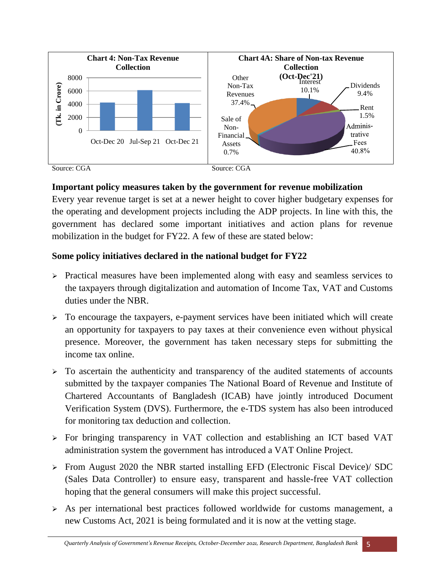

#### **Important policy measures taken by the government for revenue mobilization**

Every year revenue target is set at a newer height to cover higher budgetary expenses for the operating and development projects including the ADP projects. In line with this, the government has declared some important initiatives and action plans for revenue mobilization in the budget for FY22. A few of these are stated below:

### **Some policy initiatives declared in the national budget for FY22**

- $\triangleright$  Practical measures have been implemented along with easy and seamless services to the taxpayers through digitalization and automation of Income Tax, VAT and Customs duties under the NBR.
- $\triangleright$  To encourage the taxpayers, e-payment services have been initiated which will create an opportunity for taxpayers to pay taxes at their convenience even without physical presence. Moreover, the government has taken necessary steps for submitting the income tax online.
- $\triangleright$  To ascertain the authenticity and transparency of the audited statements of accounts submitted by the taxpayer companies The National Board of Revenue and Institute of Chartered Accountants of Bangladesh (ICAB) have jointly introduced Document Verification System (DVS). Furthermore, the e-TDS system has also been introduced for monitoring tax deduction and collection.
- $\triangleright$  For bringing transparency in VAT collection and establishing an ICT based VAT administration system the government has introduced a VAT Online Project.
- From August 2020 the NBR started installing EFD (Electronic Fiscal Device)/ SDC (Sales Data Controller) to ensure easy, transparent and hassle-free VAT collection hoping that the general consumers will make this project successful.
- $\triangleright$  As per international best practices followed worldwide for customs management, a new Customs Act, 2021 is being formulated and it is now at the vetting stage.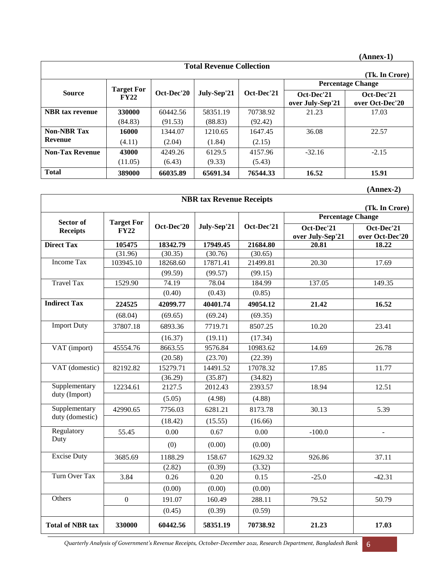|                                 |                           |            |             |            |                                | $(Annex-1)$                   |  |
|---------------------------------|---------------------------|------------|-------------|------------|--------------------------------|-------------------------------|--|
| <b>Total Revenue Collection</b> |                           |            |             |            |                                |                               |  |
|                                 |                           |            |             |            |                                | (Tk. In Crore)                |  |
|                                 | <b>Target For</b><br>FY22 | Oct-Dec'20 | July-Sep'21 | Oct-Dec'21 | <b>Percentage Change</b>       |                               |  |
| <b>Source</b>                   |                           |            |             |            | Oct-Dec'21<br>over July-Sep'21 | Oct-Dec'21<br>over Oct-Dec'20 |  |
| <b>NBR</b> tax revenue          | 330000                    | 60442.56   | 58351.19    | 70738.92   | 21.23                          | 17.03                         |  |
|                                 | (84.83)                   | (91.53)    | (88.83)     | (92.42)    |                                |                               |  |
| <b>Non-NBR Tax</b>              | 16000                     | 1344.07    | 1210.65     | 1647.45    | 36.08                          | 22.57                         |  |
| <b>Revenue</b>                  | (4.11)                    | (2.04)     | (1.84)      | (2.15)     |                                |                               |  |
| <b>Non-Tax Revenue</b>          | 43000                     | 4249.26    | 6129.5      | 4157.96    | $-32.16$                       | $-2.15$                       |  |
|                                 | (11.05)                   | (6.43)     | (9.33)      | (5.43)     |                                |                               |  |
| <b>Total</b>                    | 389000                    | 66035.89   | 65691.34    | 76544.33   | 16.52                          | 15.91                         |  |

|                         |                   |            |                                 |            |                                | $(Annex-2)$                   |
|-------------------------|-------------------|------------|---------------------------------|------------|--------------------------------|-------------------------------|
|                         |                   |            | <b>NBR</b> tax Revenue Receipts |            |                                |                               |
|                         |                   |            |                                 |            |                                | (Tk. In Crore)                |
| Sector of               | <b>Target For</b> |            |                                 |            | <b>Percentage Change</b>       |                               |
| <b>Receipts</b>         | <b>FY22</b>       | Oct-Dec'20 | July-Sep'21                     | Oct-Dec'21 | Oct-Dec'21<br>over July-Sep'21 | Oct-Dec'21<br>over Oct-Dec'20 |
| <b>Direct Tax</b>       | 105475            | 18342.79   | 17949.45                        | 21684.80   | 20.81                          | 18.22                         |
|                         | (31.96)           | (30.35)    | (30.76)                         | (30.65)    |                                |                               |
| Income Tax              | 103945.10         | 18268.60   | 17871.41                        | 21499.81   | 20.30                          | 17.69                         |
|                         |                   | (99.59)    | (99.57)                         | (99.15)    |                                |                               |
| <b>Travel Tax</b>       | 1529.90           | 74.19      | 78.04                           | 184.99     | 137.05                         | 149.35                        |
|                         |                   | (0.40)     | (0.43)                          | (0.85)     |                                |                               |
| <b>Indirect Tax</b>     | 224525            | 42099.77   | 40401.74                        | 49054.12   | 21.42                          | 16.52                         |
|                         | (68.04)           | (69.65)    | (69.24)                         | (69.35)    |                                |                               |
| <b>Import Duty</b>      | 37807.18          | 6893.36    | 7719.71                         | 8507.25    | 10.20                          | 23.41                         |
|                         |                   | (16.37)    | (19.11)                         | (17.34)    |                                |                               |
| VAT (import)            | 45554.76          | 8663.55    | 9576.84                         | 10983.62   | 14.69                          | 26.78                         |
|                         |                   | (20.58)    | (23.70)                         | (22.39)    |                                |                               |
| VAT (domestic)          | 82192.82          | 15279.71   | 14491.52                        | 17078.32   | 17.85                          | 11.77                         |
|                         |                   | (36.29)    | (35.87)                         | (34.82)    |                                |                               |
| Supplementary           | 12234.61          | 2127.5     | 2012.43                         | 2393.57    | 18.94                          | 12.51                         |
| duty (Import)           |                   | (5.05)     | (4.98)                          | (4.88)     |                                |                               |
| Supplementary           | 42990.65          | 7756.03    | 6281.21                         | 8173.78    | 30.13                          | 5.39                          |
| duty (domestic)         |                   | (18.42)    | (15.55)                         | (16.66)    |                                |                               |
| Regulatory              | 55.45             | 0.00       | 0.67                            | 0.00       | $-100.0$                       |                               |
| Duty                    |                   | (0)        | (0.00)                          | (0.00)     |                                |                               |
| <b>Excise Duty</b>      | 3685.69           | 1188.29    | 158.67                          | 1629.32    | 926.86                         | 37.11                         |
|                         |                   | (2.82)     | (0.39)                          | (3.32)     |                                |                               |
| Turn Over Tax           | 3.84              | 0.26       | 0.20                            | 0.15       | $-25.0$                        | $-42.31$                      |
|                         |                   | (0.00)     | (0.00)                          | (0.00)     |                                |                               |
| Others                  | $\mathbf{0}$      | 191.07     | 160.49                          | 288.11     | 79.52                          | 50.79                         |
|                         |                   | (0.45)     | (0.39)                          | (0.59)     |                                |                               |
| <b>Total of NBR tax</b> | 330000            | 60442.56   | 58351.19                        | 70738.92   | 21.23                          | 17.03                         |